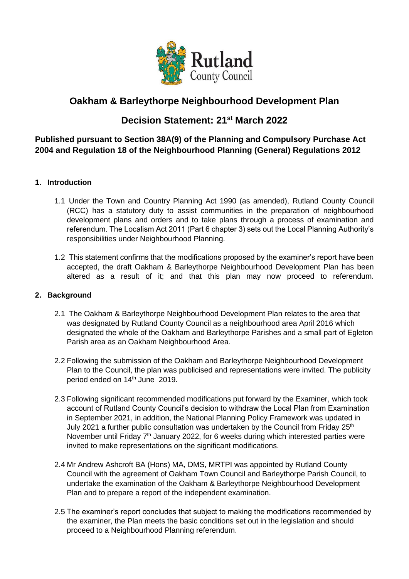

# **Oakham & Barleythorpe Neighbourhood Development Plan**

# **Decision Statement: 21st March 2022**

### **Published pursuant to Section 38A(9) of the Planning and Compulsory Purchase Act 2004 and Regulation 18 of the Neighbourhood Planning (General) Regulations 2012**

### **1. Introduction**

- 1.1 Under the Town and Country Planning Act 1990 (as amended), Rutland County Council (RCC) has a statutory duty to assist communities in the preparation of neighbourhood development plans and orders and to take plans through a process of examination and referendum. The Localism Act 2011 (Part 6 chapter 3) sets out the Local Planning Authority's responsibilities under Neighbourhood Planning.
- 1.2 This statement confirms that the modifications proposed by the examiner's report have been accepted, the draft Oakham & Barleythorpe Neighbourhood Development Plan has been altered as a result of it; and that this plan may now proceed to referendum.

#### **2. Background**

- 2.1 The Oakham & Barleythorpe Neighbourhood Development Plan relates to the area that was designated by Rutland County Council as a neighbourhood area April 2016 which designated the whole of the Oakham and Barleythorpe Parishes and a small part of Egleton Parish area as an Oakham Neighbourhood Area.
- 2.2 Following the submission of the Oakham and Barleythorpe Neighbourhood Development Plan to the Council, the plan was publicised and representations were invited. The publicity period ended on 14<sup>th</sup> June 2019.
- 2.3 Following significant recommended modifications put forward by the Examiner, which took account of Rutland County Council's decision to withdraw the Local Plan from Examination in September 2021, in addition, the National Planning Policy Framework was updated in July 2021 a further public consultation was undertaken by the Council from Friday  $25<sup>th</sup>$ November until Friday 7<sup>th</sup> January 2022, for 6 weeks during which interested parties were invited to make representations on the significant modifications.
- 2.4 Mr Andrew Ashcroft BA (Hons) MA, DMS, MRTPI was appointed by Rutland County Council with the agreement of Oakham Town Council and Barleythorpe Parish Council, to undertake the examination of the Oakham & Barleythorpe Neighbourhood Development Plan and to prepare a report of the independent examination.
- 2.5 The examiner's report concludes that subject to making the modifications recommended by the examiner, the Plan meets the basic conditions set out in the legislation and should proceed to a Neighbourhood Planning referendum.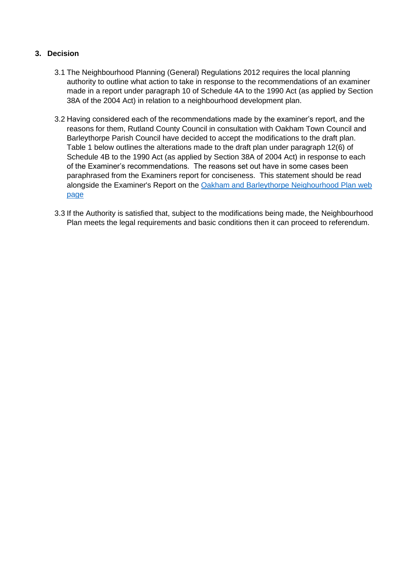### **3. Decision**

- 3.1 The Neighbourhood Planning (General) Regulations 2012 requires the local planning authority to outline what action to take in response to the recommendations of an examiner made in a report under paragraph 10 of Schedule 4A to the 1990 Act (as applied by Section 38A of the 2004 Act) in relation to a neighbourhood development plan.
- 3.2 Having considered each of the recommendations made by the examiner's report, and the reasons for them, Rutland County Council in consultation with Oakham Town Council and Barleythorpe Parish Council have decided to accept the modifications to the draft plan. Table 1 below outlines the alterations made to the draft plan under paragraph 12(6) of Schedule 4B to the 1990 Act (as applied by Section 38A of 2004 Act) in response to each of the Examiner's recommendations. The reasons set out have in some cases been paraphrased from the Examiners report for conciseness. This statement should be read alongside the Examiner's Report on the [Oakham and Barleythorpe Neighourhood Plan](https://www.rutland.gov.uk/my-services/planning-and-building-control/planning/neighbourhood-planning/oakham-barleythorpe-neighbourhood-plan/) web [page](https://www.rutland.gov.uk/my-services/planning-and-building-control/planning/neighbourhood-planning/oakham-barleythorpe-neighbourhood-plan/)
- 3.3 If the Authority is satisfied that, subject to the modifications being made, the Neighbourhood Plan meets the legal requirements and basic conditions then it can proceed to referendum.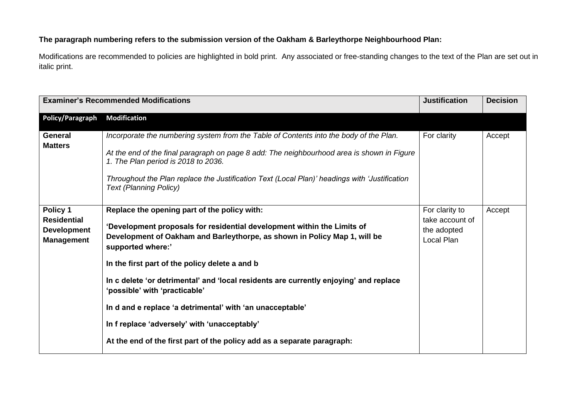### **The paragraph numbering refers to the submission version of the Oakham & Barleythorpe Neighbourhood Plan:**

Modifications are recommended to policies are highlighted in bold print. Any associated or free-standing changes to the text of the Plan are set out in italic print.

|                                                                           | <b>Examiner's Recommended Modifications</b>                                                                                                                                                                                                                                                                                                                   | <b>Justification</b>                                           | <b>Decision</b> |
|---------------------------------------------------------------------------|---------------------------------------------------------------------------------------------------------------------------------------------------------------------------------------------------------------------------------------------------------------------------------------------------------------------------------------------------------------|----------------------------------------------------------------|-----------------|
| <b>Policy/Paragraph</b>                                                   | <b>Modification</b>                                                                                                                                                                                                                                                                                                                                           |                                                                |                 |
| <b>General</b><br><b>Matters</b>                                          | Incorporate the numbering system from the Table of Contents into the body of the Plan.<br>At the end of the final paragraph on page 8 add: The neighbourhood area is shown in Figure<br>1. The Plan period is 2018 to 2036.<br>Throughout the Plan replace the Justification Text (Local Plan)' headings with 'Justification<br><b>Text (Planning Policy)</b> | For clarity                                                    | Accept          |
| Policy 1<br><b>Residential</b><br><b>Development</b><br><b>Management</b> | Replace the opening part of the policy with:<br>'Development proposals for residential development within the Limits of<br>Development of Oakham and Barleythorpe, as shown in Policy Map 1, will be<br>supported where:'                                                                                                                                     | For clarity to<br>take account of<br>the adopted<br>Local Plan | Accept          |
|                                                                           | In the first part of the policy delete a and b                                                                                                                                                                                                                                                                                                                |                                                                |                 |
|                                                                           | In c delete 'or detrimental' and 'local residents are currently enjoying' and replace<br>'possible' with 'practicable'                                                                                                                                                                                                                                        |                                                                |                 |
|                                                                           | In d and e replace 'a detrimental' with 'an unacceptable'                                                                                                                                                                                                                                                                                                     |                                                                |                 |
|                                                                           | In f replace 'adversely' with 'unacceptably'                                                                                                                                                                                                                                                                                                                  |                                                                |                 |
|                                                                           | At the end of the first part of the policy add as a separate paragraph:                                                                                                                                                                                                                                                                                       |                                                                |                 |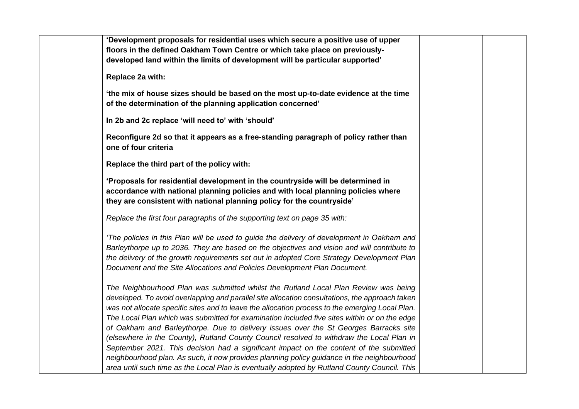| 'Development proposals for residential uses which secure a positive use of upper                                                                                                                                                                                                                                                                                                                                                                                                                                                                                                                                                                                                                                                                                     |
|----------------------------------------------------------------------------------------------------------------------------------------------------------------------------------------------------------------------------------------------------------------------------------------------------------------------------------------------------------------------------------------------------------------------------------------------------------------------------------------------------------------------------------------------------------------------------------------------------------------------------------------------------------------------------------------------------------------------------------------------------------------------|
| floors in the defined Oakham Town Centre or which take place on previously-                                                                                                                                                                                                                                                                                                                                                                                                                                                                                                                                                                                                                                                                                          |
| developed land within the limits of development will be particular supported'                                                                                                                                                                                                                                                                                                                                                                                                                                                                                                                                                                                                                                                                                        |
| Replace 2a with:                                                                                                                                                                                                                                                                                                                                                                                                                                                                                                                                                                                                                                                                                                                                                     |
| 'the mix of house sizes should be based on the most up-to-date evidence at the time<br>of the determination of the planning application concerned'                                                                                                                                                                                                                                                                                                                                                                                                                                                                                                                                                                                                                   |
| In 2b and 2c replace 'will need to' with 'should'                                                                                                                                                                                                                                                                                                                                                                                                                                                                                                                                                                                                                                                                                                                    |
| Reconfigure 2d so that it appears as a free-standing paragraph of policy rather than<br>one of four criteria                                                                                                                                                                                                                                                                                                                                                                                                                                                                                                                                                                                                                                                         |
| Replace the third part of the policy with:                                                                                                                                                                                                                                                                                                                                                                                                                                                                                                                                                                                                                                                                                                                           |
| 'Proposals for residential development in the countryside will be determined in<br>accordance with national planning policies and with local planning policies where<br>they are consistent with national planning policy for the countryside'                                                                                                                                                                                                                                                                                                                                                                                                                                                                                                                       |
| Replace the first four paragraphs of the supporting text on page 35 with:                                                                                                                                                                                                                                                                                                                                                                                                                                                                                                                                                                                                                                                                                            |
| 'The policies in this Plan will be used to guide the delivery of development in Oakham and<br>Barleythorpe up to 2036. They are based on the objectives and vision and will contribute to<br>the delivery of the growth requirements set out in adopted Core Strategy Development Plan<br>Document and the Site Allocations and Policies Development Plan Document.                                                                                                                                                                                                                                                                                                                                                                                                  |
| The Neighbourhood Plan was submitted whilst the Rutland Local Plan Review was being<br>developed. To avoid overlapping and parallel site allocation consultations, the approach taken<br>was not allocate specific sites and to leave the allocation process to the emerging Local Plan.<br>The Local Plan which was submitted for examination included five sites within or on the edge<br>of Oakham and Barleythorpe. Due to delivery issues over the St Georges Barracks site<br>(elsewhere in the County), Rutland County Council resolved to withdraw the Local Plan in<br>September 2021. This decision had a significant impact on the content of the submitted<br>neighbourhood plan. As such, it now provides planning policy guidance in the neighbourhood |
| area until such time as the Local Plan is eventually adopted by Rutland County Council. This                                                                                                                                                                                                                                                                                                                                                                                                                                                                                                                                                                                                                                                                         |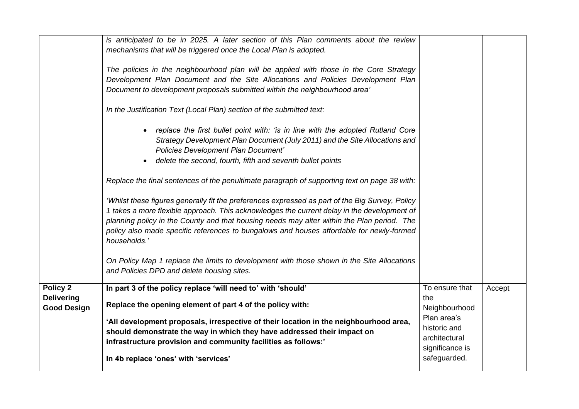| Policy 2<br><b>Delivering</b><br><b>Good Design</b> | In part 3 of the policy replace 'will need to' with 'should'<br>Replace the opening element of part 4 of the policy with:<br>'All development proposals, irrespective of their location in the neighbourhood area,<br>should demonstrate the way in which they have addressed their impact on<br>infrastructure provision and community facilities as follows:'                                                                                                                                                                                      | To ensure that<br>the<br>Neighbourhood<br>Plan area's<br>historic and<br>architectural<br>significance is<br>safeguarded. | Accept |
|-----------------------------------------------------|------------------------------------------------------------------------------------------------------------------------------------------------------------------------------------------------------------------------------------------------------------------------------------------------------------------------------------------------------------------------------------------------------------------------------------------------------------------------------------------------------------------------------------------------------|---------------------------------------------------------------------------------------------------------------------------|--------|
|                                                     | 'Whilst these figures generally fit the preferences expressed as part of the Big Survey, Policy<br>1 takes a more flexible approach. This acknowledges the current delay in the development of<br>planning policy in the County and that housing needs may alter within the Plan period. The<br>policy also made specific references to bungalows and houses affordable for newly-formed<br>households.'<br>On Policy Map 1 replace the limits to development with those shown in the Site Allocations<br>and Policies DPD and delete housing sites. |                                                                                                                           |        |
|                                                     | replace the first bullet point with: 'is in line with the adopted Rutland Core<br>$\bullet$<br>Strategy Development Plan Document (July 2011) and the Site Allocations and<br><b>Policies Development Plan Document'</b><br>delete the second, fourth, fifth and seventh bullet points<br>$\bullet$<br>Replace the final sentences of the penultimate paragraph of supporting text on page 38 with:                                                                                                                                                  |                                                                                                                           |        |
|                                                     | is anticipated to be in 2025. A later section of this Plan comments about the review<br>mechanisms that will be triggered once the Local Plan is adopted.<br>The policies in the neighbourhood plan will be applied with those in the Core Strategy<br>Development Plan Document and the Site Allocations and Policies Development Plan<br>Document to development proposals submitted within the neighbourhood area'<br>In the Justification Text (Local Plan) section of the submitted text:                                                       |                                                                                                                           |        |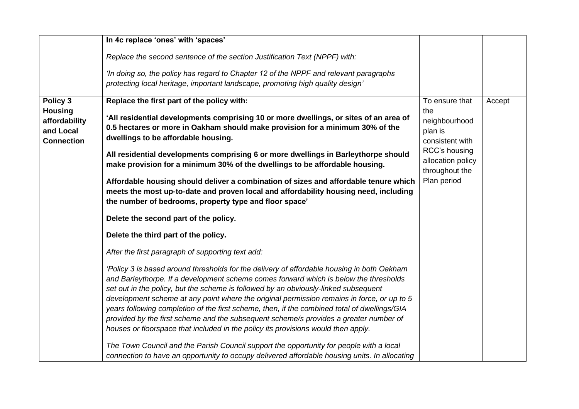| Replace the second sentence of the section Justification Text (NPPF) with:<br>'In doing so, the policy has regard to Chapter 12 of the NPPF and relevant paragraphs<br>protecting local heritage, important landscape, promoting high quality design'<br>Policy 3<br>Replace the first part of the policy with:<br>To ensure that<br>Accept<br><b>Housing</b><br>the<br>'All residential developments comprising 10 or more dwellings, or sites of an area of<br>affordability<br>neighbourhood<br>0.5 hectares or more in Oakham should make provision for a minimum 30% of the<br>and Local<br>plan is<br>dwellings to be affordable housing.<br><b>Connection</b><br>consistent with<br>RCC's housing<br>All residential developments comprising 6 or more dwellings in Barleythorpe should<br>allocation policy<br>make provision for a minimum 30% of the dwellings to be affordable housing.<br>throughout the<br>Plan period<br>Affordable housing should deliver a combination of sizes and affordable tenure which<br>meets the most up-to-date and proven local and affordability housing need, including<br>the number of bedrooms, property type and floor space'<br>Delete the second part of the policy. | In 4c replace 'ones' with 'spaces' |  |  |
|------------------------------------------------------------------------------------------------------------------------------------------------------------------------------------------------------------------------------------------------------------------------------------------------------------------------------------------------------------------------------------------------------------------------------------------------------------------------------------------------------------------------------------------------------------------------------------------------------------------------------------------------------------------------------------------------------------------------------------------------------------------------------------------------------------------------------------------------------------------------------------------------------------------------------------------------------------------------------------------------------------------------------------------------------------------------------------------------------------------------------------------------------------------------------------------------------------------------|------------------------------------|--|--|
|                                                                                                                                                                                                                                                                                                                                                                                                                                                                                                                                                                                                                                                                                                                                                                                                                                                                                                                                                                                                                                                                                                                                                                                                                        |                                    |  |  |
|                                                                                                                                                                                                                                                                                                                                                                                                                                                                                                                                                                                                                                                                                                                                                                                                                                                                                                                                                                                                                                                                                                                                                                                                                        |                                    |  |  |
| Delete the third part of the policy.<br>After the first paragraph of supporting text add:<br>'Policy 3 is based around thresholds for the delivery of affordable housing in both Oakham<br>and Barleythorpe. If a development scheme comes forward which is below the thresholds<br>set out in the policy, but the scheme is followed by an obviously-linked subsequent<br>development scheme at any point where the original permission remains in force, or up to 5<br>years following completion of the first scheme, then, if the combined total of dwellings/GIA<br>provided by the first scheme and the subsequent scheme/s provides a greater number of<br>houses or floorspace that included in the policy its provisions would then apply.<br>The Town Council and the Parish Council support the opportunity for people with a local<br>connection to have an opportunity to occupy delivered affordable housing units. In allocating                                                                                                                                                                                                                                                                        |                                    |  |  |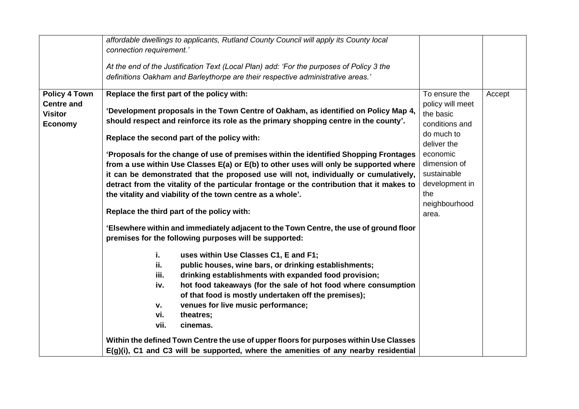|                                                                               | affordable dwellings to applicants, Rutland County Council will apply its County local<br>connection requirement.'<br>At the end of the Justification Text (Local Plan) add: 'For the purposes of Policy 3 the<br>definitions Oakham and Barleythorpe are their respective administrative areas.'                                                                                                                                                                                                                                                                                                                                                                                                                                                                                                                                                                                                                                                                                                                                                                                                                                                                                                                                                                                                                                                                                                              |                                                                                                                                                                                             |        |
|-------------------------------------------------------------------------------|----------------------------------------------------------------------------------------------------------------------------------------------------------------------------------------------------------------------------------------------------------------------------------------------------------------------------------------------------------------------------------------------------------------------------------------------------------------------------------------------------------------------------------------------------------------------------------------------------------------------------------------------------------------------------------------------------------------------------------------------------------------------------------------------------------------------------------------------------------------------------------------------------------------------------------------------------------------------------------------------------------------------------------------------------------------------------------------------------------------------------------------------------------------------------------------------------------------------------------------------------------------------------------------------------------------------------------------------------------------------------------------------------------------|---------------------------------------------------------------------------------------------------------------------------------------------------------------------------------------------|--------|
| <b>Policy 4 Town</b><br><b>Centre and</b><br><b>Visitor</b><br><b>Economy</b> | Replace the first part of the policy with:<br>'Development proposals in the Town Centre of Oakham, as identified on Policy Map 4,<br>should respect and reinforce its role as the primary shopping centre in the county'.<br>Replace the second part of the policy with:<br>'Proposals for the change of use of premises within the identified Shopping Frontages<br>from a use within Use Classes E(a) or E(b) to other uses will only be supported where<br>it can be demonstrated that the proposed use will not, individually or cumulatively,<br>detract from the vitality of the particular frontage or the contribution that it makes to<br>the vitality and viability of the town centre as a whole'.<br>Replace the third part of the policy with:<br>'Elsewhere within and immediately adjacent to the Town Centre, the use of ground floor<br>premises for the following purposes will be supported:<br>i.<br>uses within Use Classes C1, E and F1;<br>public houses, wine bars, or drinking establishments;<br>ii.<br>iii.<br>drinking establishments with expanded food provision;<br>hot food takeaways (for the sale of hot food where consumption<br>iv.<br>of that food is mostly undertaken off the premises);<br>venues for live music performance;<br>v.<br>vi.<br>theatres;<br>vii.<br>cinemas.<br>Within the defined Town Centre the use of upper floors for purposes within Use Classes | To ensure the<br>policy will meet<br>the basic<br>conditions and<br>do much to<br>deliver the<br>economic<br>dimension of<br>sustainable<br>development in<br>the<br>neighbourhood<br>area. | Accept |
|                                                                               | E(g)(i), C1 and C3 will be supported, where the amenities of any nearby residential                                                                                                                                                                                                                                                                                                                                                                                                                                                                                                                                                                                                                                                                                                                                                                                                                                                                                                                                                                                                                                                                                                                                                                                                                                                                                                                            |                                                                                                                                                                                             |        |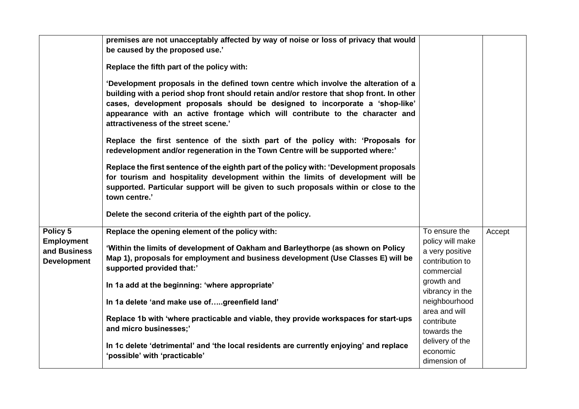|                                                                     | premises are not unacceptably affected by way of noise or loss of privacy that would<br>be caused by the proposed use.'<br>Replace the fifth part of the policy with:<br>'Development proposals in the defined town centre which involve the alteration of a<br>building with a period shop front should retain and/or restore that shop front. In other<br>cases, development proposals should be designed to incorporate a 'shop-like'<br>appearance with an active frontage which will contribute to the character and<br>attractiveness of the street scene.'<br>Replace the first sentence of the sixth part of the policy with: 'Proposals for<br>redevelopment and/or regeneration in the Town Centre will be supported where:'<br>Replace the first sentence of the eighth part of the policy with: 'Development proposals<br>for tourism and hospitality development within the limits of development will be<br>supported. Particular support will be given to such proposals within or close to the |                                                                                                                                                                                       |        |
|---------------------------------------------------------------------|----------------------------------------------------------------------------------------------------------------------------------------------------------------------------------------------------------------------------------------------------------------------------------------------------------------------------------------------------------------------------------------------------------------------------------------------------------------------------------------------------------------------------------------------------------------------------------------------------------------------------------------------------------------------------------------------------------------------------------------------------------------------------------------------------------------------------------------------------------------------------------------------------------------------------------------------------------------------------------------------------------------|---------------------------------------------------------------------------------------------------------------------------------------------------------------------------------------|--------|
|                                                                     | town centre.'<br>Delete the second criteria of the eighth part of the policy.                                                                                                                                                                                                                                                                                                                                                                                                                                                                                                                                                                                                                                                                                                                                                                                                                                                                                                                                  |                                                                                                                                                                                       |        |
| Policy 5<br><b>Employment</b><br>and Business<br><b>Development</b> | Replace the opening element of the policy with:<br>'Within the limits of development of Oakham and Barleythorpe (as shown on Policy<br>Map 1), proposals for employment and business development (Use Classes E) will be<br>supported provided that:'<br>In 1a add at the beginning: 'where appropriate'<br>In 1a delete 'and make use ofgreenfield land'<br>Replace 1b with 'where practicable and viable, they provide workspaces for start-ups<br>and micro businesses;'                                                                                                                                                                                                                                                                                                                                                                                                                                                                                                                                    | To ensure the<br>policy will make<br>a very positive<br>contribution to<br>commercial<br>growth and<br>vibrancy in the<br>neighbourhood<br>area and will<br>contribute<br>towards the | Accept |
|                                                                     | In 1c delete 'detrimental' and 'the local residents are currently enjoying' and replace<br>'possible' with 'practicable'                                                                                                                                                                                                                                                                                                                                                                                                                                                                                                                                                                                                                                                                                                                                                                                                                                                                                       | delivery of the<br>economic<br>dimension of                                                                                                                                           |        |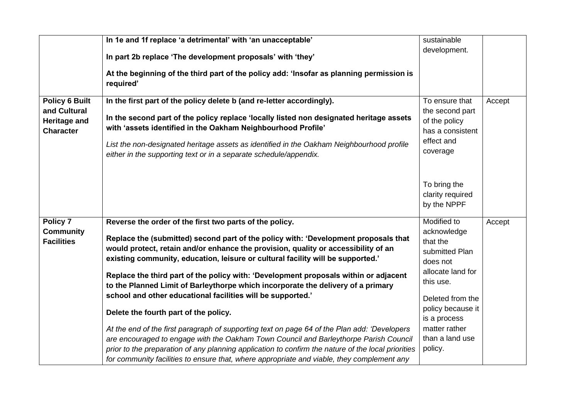| <b>Policy 6 Built</b><br>and Cultural<br><b>Heritage and</b><br><b>Character</b> | In 1e and 1f replace 'a detrimental' with 'an unacceptable'<br>In part 2b replace 'The development proposals' with 'they'<br>At the beginning of the third part of the policy add: 'Insofar as planning permission is<br>required'<br>In the first part of the policy delete b (and re-letter accordingly).<br>In the second part of the policy replace 'locally listed non designated heritage assets<br>with 'assets identified in the Oakham Neighbourhood Profile'<br>List the non-designated heritage assets as identified in the Oakham Neighbourhood profile                                                                                                                                         | sustainable<br>development.<br>To ensure that<br>the second part<br>of the policy<br>has a consistent<br>effect and                                                              | Accept |
|----------------------------------------------------------------------------------|-------------------------------------------------------------------------------------------------------------------------------------------------------------------------------------------------------------------------------------------------------------------------------------------------------------------------------------------------------------------------------------------------------------------------------------------------------------------------------------------------------------------------------------------------------------------------------------------------------------------------------------------------------------------------------------------------------------|----------------------------------------------------------------------------------------------------------------------------------------------------------------------------------|--------|
|                                                                                  | either in the supporting text or in a separate schedule/appendix.                                                                                                                                                                                                                                                                                                                                                                                                                                                                                                                                                                                                                                           | coverage<br>To bring the<br>clarity required<br>by the NPPF                                                                                                                      |        |
| Policy 7<br><b>Community</b><br><b>Facilities</b>                                | Reverse the order of the first two parts of the policy.<br>Replace the (submitted) second part of the policy with: 'Development proposals that<br>would protect, retain and/or enhance the provision, quality or accessibility of an<br>existing community, education, leisure or cultural facility will be supported.'<br>Replace the third part of the policy with: 'Development proposals within or adjacent<br>to the Planned Limit of Barleythorpe which incorporate the delivery of a primary<br>school and other educational facilities will be supported.'<br>Delete the fourth part of the policy.<br>At the end of the first paragraph of supporting text on page 64 of the Plan add: 'Developers | Modified to<br>acknowledge<br>that the<br>submitted Plan<br>does not<br>allocate land for<br>this use.<br>Deleted from the<br>policy because it<br>is a process<br>matter rather | Accept |
|                                                                                  | are encouraged to engage with the Oakham Town Council and Barleythorpe Parish Council<br>prior to the preparation of any planning application to confirm the nature of the local priorities<br>for community facilities to ensure that, where appropriate and viable, they complement any                                                                                                                                                                                                                                                                                                                                                                                                                   | than a land use<br>policy.                                                                                                                                                       |        |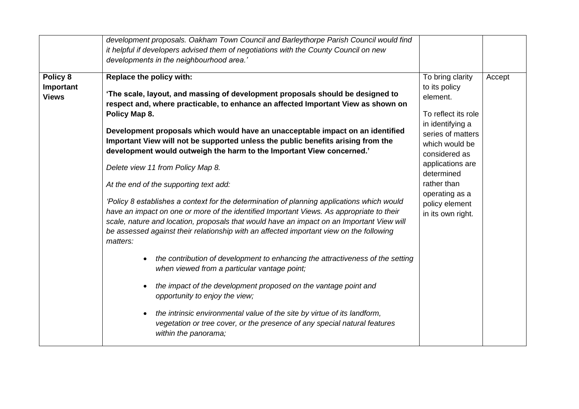|                                       | development proposals. Oakham Town Council and Barleythorpe Parish Council would find<br>it helpful if developers advised them of negotiations with the County Council on new<br>developments in the neighbourhood area.'                                                                                                                                                                                                                                                                                                                                                                                                                                                                                                                                                                                                                                                                                                                                                                                                                                                                                                                                                                                                                                                                                                                                                                      |                                                                                                                                                                                                                                                            |        |
|---------------------------------------|------------------------------------------------------------------------------------------------------------------------------------------------------------------------------------------------------------------------------------------------------------------------------------------------------------------------------------------------------------------------------------------------------------------------------------------------------------------------------------------------------------------------------------------------------------------------------------------------------------------------------------------------------------------------------------------------------------------------------------------------------------------------------------------------------------------------------------------------------------------------------------------------------------------------------------------------------------------------------------------------------------------------------------------------------------------------------------------------------------------------------------------------------------------------------------------------------------------------------------------------------------------------------------------------------------------------------------------------------------------------------------------------|------------------------------------------------------------------------------------------------------------------------------------------------------------------------------------------------------------------------------------------------------------|--------|
| Policy 8<br>Important<br><b>Views</b> | Replace the policy with:<br>'The scale, layout, and massing of development proposals should be designed to<br>respect and, where practicable, to enhance an affected Important View as shown on<br>Policy Map 8.<br>Development proposals which would have an unacceptable impact on an identified<br>Important View will not be supported unless the public benefits arising from the<br>development would outweigh the harm to the Important View concerned.'<br>Delete view 11 from Policy Map 8.<br>At the end of the supporting text add:<br>'Policy 8 establishes a context for the determination of planning applications which would<br>have an impact on one or more of the identified Important Views. As appropriate to their<br>scale, nature and location, proposals that would have an impact on an Important View will<br>be assessed against their relationship with an affected important view on the following<br>matters:<br>the contribution of development to enhancing the attractiveness of the setting<br>when viewed from a particular vantage point;<br>the impact of the development proposed on the vantage point and<br>$\bullet$<br>opportunity to enjoy the view;<br>the intrinsic environmental value of the site by virtue of its landform,<br>$\bullet$<br>vegetation or tree cover, or the presence of any special natural features<br>within the panorama; | To bring clarity<br>to its policy<br>element.<br>To reflect its role<br>in identifying a<br>series of matters<br>which would be<br>considered as<br>applications are<br>determined<br>rather than<br>operating as a<br>policy element<br>in its own right. | Accept |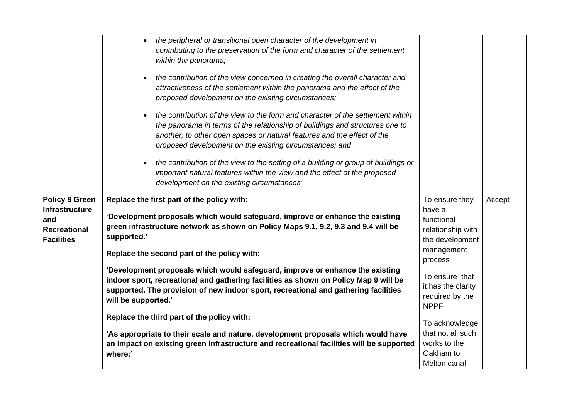|                                                 | the peripheral or transitional open character of the development in<br>$\bullet$<br>contributing to the preservation of the form and character of the settlement<br>within the panorama;<br>the contribution of the view concerned in creating the overall character and<br>attractiveness of the settlement within the panorama and the effect of the<br>proposed development on the existing circumstances;<br>the contribution of the view to the form and character of the settlement within<br>the panorama in terms of the relationship of buildings and structures one to<br>another, to other open spaces or natural features and the effect of the<br>proposed development on the existing circumstances; and<br>the contribution of the view to the setting of a building or group of buildings or<br>important natural features within the view and the effect of the proposed<br>development on the existing circumstances' |                                                                        |        |
|-------------------------------------------------|-----------------------------------------------------------------------------------------------------------------------------------------------------------------------------------------------------------------------------------------------------------------------------------------------------------------------------------------------------------------------------------------------------------------------------------------------------------------------------------------------------------------------------------------------------------------------------------------------------------------------------------------------------------------------------------------------------------------------------------------------------------------------------------------------------------------------------------------------------------------------------------------------------------------------------------------|------------------------------------------------------------------------|--------|
| <b>Policy 9 Green</b><br><b>Infrastructure</b>  | Replace the first part of the policy with:                                                                                                                                                                                                                                                                                                                                                                                                                                                                                                                                                                                                                                                                                                                                                                                                                                                                                              | To ensure they<br>have a                                               | Accept |
| and<br><b>Recreational</b><br><b>Facilities</b> | 'Development proposals which would safeguard, improve or enhance the existing<br>green infrastructure network as shown on Policy Maps 9.1, 9.2, 9.3 and 9.4 will be<br>supported.'                                                                                                                                                                                                                                                                                                                                                                                                                                                                                                                                                                                                                                                                                                                                                      | functional<br>relationship with<br>the development                     |        |
|                                                 | Replace the second part of the policy with:                                                                                                                                                                                                                                                                                                                                                                                                                                                                                                                                                                                                                                                                                                                                                                                                                                                                                             | management<br>process                                                  |        |
|                                                 | 'Development proposals which would safeguard, improve or enhance the existing<br>indoor sport, recreational and gathering facilities as shown on Policy Map 9 will be<br>supported. The provision of new indoor sport, recreational and gathering facilities<br>will be supported.'                                                                                                                                                                                                                                                                                                                                                                                                                                                                                                                                                                                                                                                     | To ensure that<br>it has the clarity<br>required by the<br><b>NPPF</b> |        |
|                                                 | Replace the third part of the policy with:                                                                                                                                                                                                                                                                                                                                                                                                                                                                                                                                                                                                                                                                                                                                                                                                                                                                                              | To acknowledge                                                         |        |
|                                                 | 'As appropriate to their scale and nature, development proposals which would have                                                                                                                                                                                                                                                                                                                                                                                                                                                                                                                                                                                                                                                                                                                                                                                                                                                       | that not all such                                                      |        |
|                                                 | an impact on existing green infrastructure and recreational facilities will be supported                                                                                                                                                                                                                                                                                                                                                                                                                                                                                                                                                                                                                                                                                                                                                                                                                                                | works to the                                                           |        |
|                                                 | where:'                                                                                                                                                                                                                                                                                                                                                                                                                                                                                                                                                                                                                                                                                                                                                                                                                                                                                                                                 | Oakham to                                                              |        |
|                                                 |                                                                                                                                                                                                                                                                                                                                                                                                                                                                                                                                                                                                                                                                                                                                                                                                                                                                                                                                         | Melton canal                                                           |        |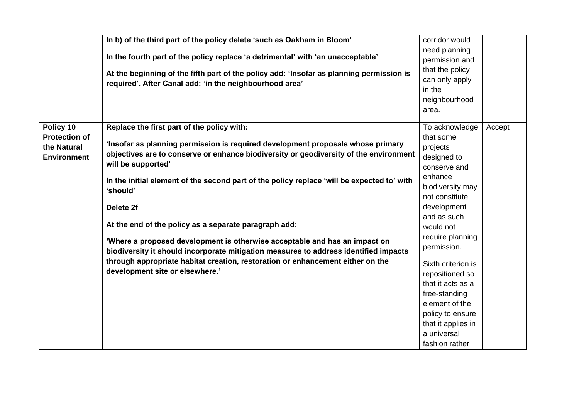|                                                                        | In b) of the third part of the policy delete 'such as Oakham in Bloom'<br>In the fourth part of the policy replace 'a detrimental' with 'an unacceptable'<br>At the beginning of the fifth part of the policy add: 'Insofar as planning permission is<br>required'. After Canal add: 'in the neighbourhood area'                                                                                                                                                                                                                                                                                                                                                                                                        | corridor would<br>need planning<br>permission and<br>that the policy<br>can only apply<br>in the<br>neighbourhood<br>area.                                                                                                                                                                                                                                                        |        |
|------------------------------------------------------------------------|-------------------------------------------------------------------------------------------------------------------------------------------------------------------------------------------------------------------------------------------------------------------------------------------------------------------------------------------------------------------------------------------------------------------------------------------------------------------------------------------------------------------------------------------------------------------------------------------------------------------------------------------------------------------------------------------------------------------------|-----------------------------------------------------------------------------------------------------------------------------------------------------------------------------------------------------------------------------------------------------------------------------------------------------------------------------------------------------------------------------------|--------|
| Policy 10<br><b>Protection of</b><br>the Natural<br><b>Environment</b> | Replace the first part of the policy with:<br>'Insofar as planning permission is required development proposals whose primary<br>objectives are to conserve or enhance biodiversity or geodiversity of the environment<br>will be supported'<br>In the initial element of the second part of the policy replace 'will be expected to' with<br>'should'<br>Delete 2f<br>At the end of the policy as a separate paragraph add:<br>'Where a proposed development is otherwise acceptable and has an impact on<br>biodiversity it should incorporate mitigation measures to address identified impacts<br>through appropriate habitat creation, restoration or enhancement either on the<br>development site or elsewhere.' | To acknowledge<br>that some<br>projects<br>designed to<br>conserve and<br>enhance<br>biodiversity may<br>not constitute<br>development<br>and as such<br>would not<br>require planning<br>permission.<br>Sixth criterion is<br>repositioned so<br>that it acts as a<br>free-standing<br>element of the<br>policy to ensure<br>that it applies in<br>a universal<br>fashion rather | Accept |